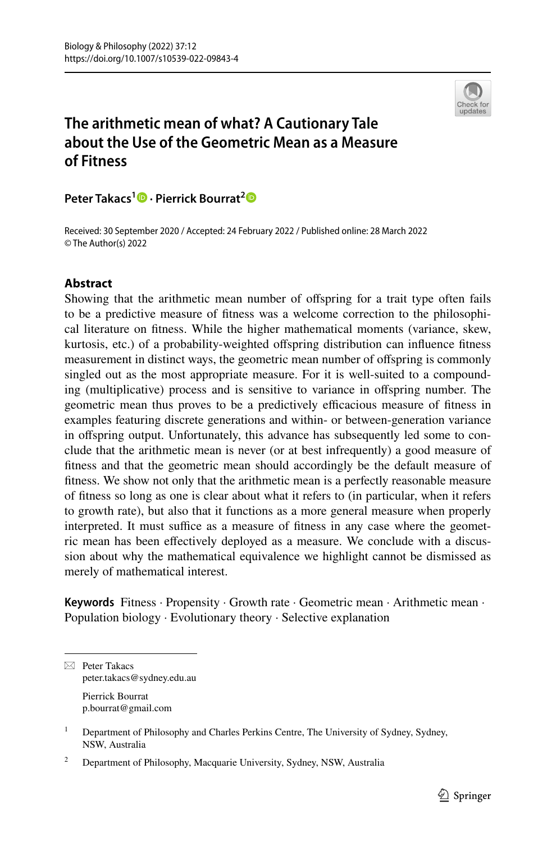

# **The arithmetic mean of what? A Cautionary Tale about the Use of the Geometric Mean as a Measure of Fitness**

**Peter Takacs<sup>1</sup> · Pierrick Bourrat[2](http://orcid.org/0000-0002-4465-6015)**

Received: 30 September 2020 / Accepted: 24 February 2022 / Published online: 28 March 2022 © The Author(s) 2022

## **Abstract**

Showing that the arithmetic mean number of ofspring for a trait type often fails to be a predictive measure of ftness was a welcome correction to the philosophical literature on ftness. While the higher mathematical moments (variance, skew, kurtosis, etc.) of a probability-weighted ofspring distribution can infuence ftness measurement in distinct ways, the geometric mean number of ofspring is commonly singled out as the most appropriate measure. For it is well-suited to a compounding (multiplicative) process and is sensitive to variance in offspring number. The geometric mean thus proves to be a predictively efficacious measure of fitness in examples featuring discrete generations and within- or between-generation variance in ofspring output. Unfortunately, this advance has subsequently led some to conclude that the arithmetic mean is never (or at best infrequently) a good measure of ftness and that the geometric mean should accordingly be the default measure of ftness. We show not only that the arithmetic mean is a perfectly reasonable measure of ftness so long as one is clear about what it refers to (in particular, when it refers to growth rate), but also that it functions as a more general measure when properly interpreted. It must suffice as a measure of fitness in any case where the geometric mean has been efectively deployed as a measure. We conclude with a discussion about why the mathematical equivalence we highlight cannot be dismissed as merely of mathematical interest.

**Keywords** Fitness · Propensity · Growth rate · Geometric mean · Arithmetic mean · Population biology · Evolutionary theory · Selective explanation

 $\boxtimes$  Peter Takacs peter.takacs@sydney.edu.au Pierrick Bourrat

p.bourrat@gmail.com

<sup>&</sup>lt;sup>1</sup> Department of Philosophy and Charles Perkins Centre, The University of Sydney, Sydney, NSW, Australia

<sup>&</sup>lt;sup>2</sup> Department of Philosophy, Macquarie University, Sydney, NSW, Australia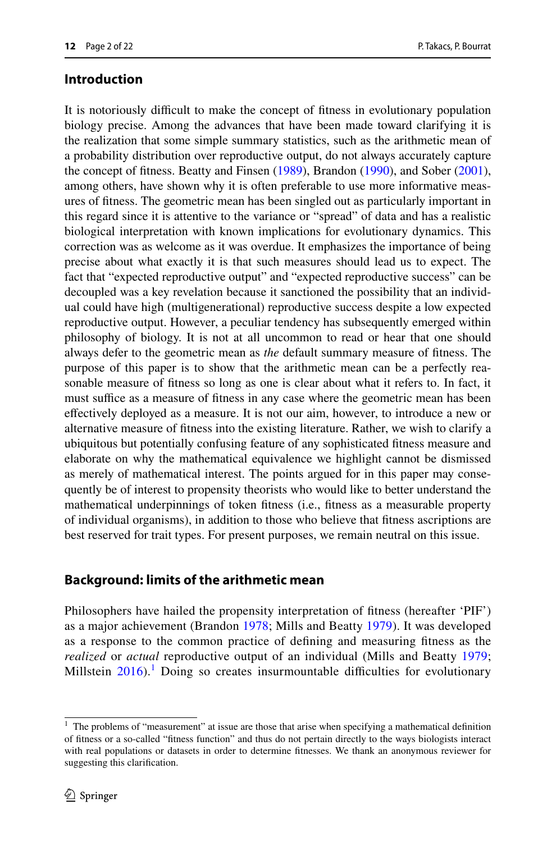## **Introduction**

It is notoriously difcult to make the concept of ftness in evolutionary population biology precise. Among the advances that have been made toward clarifying it is the realization that some simple summary statistics, such as the arithmetic mean of a probability distribution over reproductive output, do not always accurately capture the concept of ftness. Beatty and Finsen [\(1989](#page-20-0)), Brandon ([1990\)](#page-20-1), and Sober ([2001\)](#page-21-0), among others, have shown why it is often preferable to use more informative measures of ftness. The geometric mean has been singled out as particularly important in this regard since it is attentive to the variance or "spread" of data and has a realistic biological interpretation with known implications for evolutionary dynamics. This correction was as welcome as it was overdue. It emphasizes the importance of being precise about what exactly it is that such measures should lead us to expect. The fact that "expected reproductive output" and "expected reproductive success" can be decoupled was a key revelation because it sanctioned the possibility that an individual could have high (multigenerational) reproductive success despite a low expected reproductive output. However, a peculiar tendency has subsequently emerged within philosophy of biology. It is not at all uncommon to read or hear that one should always defer to the geometric mean as *the* default summary measure of ftness. The purpose of this paper is to show that the arithmetic mean can be a perfectly reasonable measure of ftness so long as one is clear about what it refers to. In fact, it must suffice as a measure of fitness in any case where the geometric mean has been efectively deployed as a measure. It is not our aim, however, to introduce a new or alternative measure of ftness into the existing literature. Rather, we wish to clarify a ubiquitous but potentially confusing feature of any sophisticated ftness measure and elaborate on why the mathematical equivalence we highlight cannot be dismissed as merely of mathematical interest. The points argued for in this paper may consequently be of interest to propensity theorists who would like to better understand the mathematical underpinnings of token ftness (i.e., ftness as a measurable property of individual organisms), in addition to those who believe that ftness ascriptions are best reserved for trait types. For present purposes, we remain neutral on this issue.

# **Background: limits of the arithmetic mean**

Philosophers have hailed the propensity interpretation of ftness (hereafter 'PIF') as a major achievement (Brandon [1978](#page-20-2); Mills and Beatty [1979](#page-21-1)). It was developed as a response to the common practice of defning and measuring ftness as the *realized* or *actual* reproductive output of an individual (Mills and Beatty [1979;](#page-21-1) Millstein  $2016$ .<sup>[1](#page-1-0)</sup> Doing so creates insurmountable difficulties for evolutionary

<span id="page-1-0"></span> $1$  The problems of "measurement" at issue are those that arise when specifying a mathematical definition of ftness or a so-called "ftness function" and thus do not pertain directly to the ways biologists interact with real populations or datasets in order to determine ftnesses. We thank an anonymous reviewer for suggesting this clarifcation.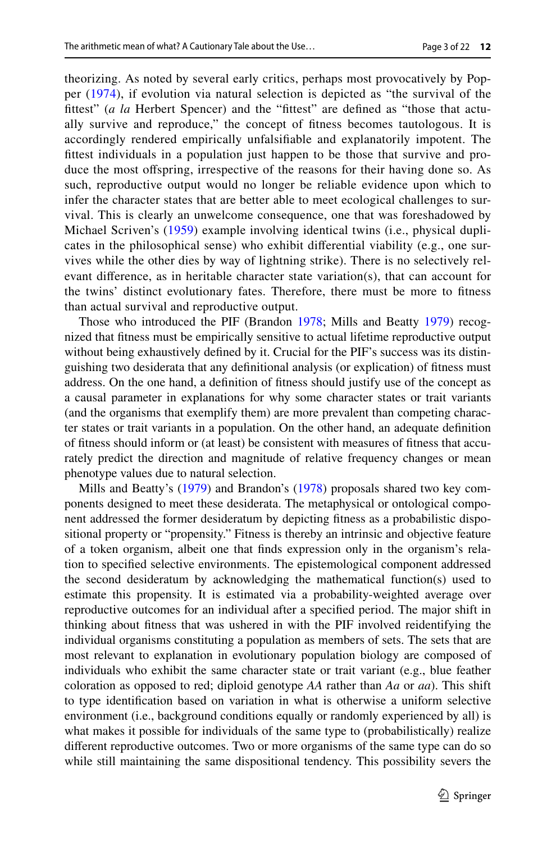theorizing. As noted by several early critics, perhaps most provocatively by Popper [\(1974\)](#page-21-3), if evolution via natural selection is depicted as "the survival of the fttest" (*a la* Herbert Spencer) and the "fttest" are defned as "those that actually survive and reproduce," the concept of ftness becomes tautologous. It is accordingly rendered empirically unfalsifable and explanatorily impotent. The fttest individuals in a population just happen to be those that survive and produce the most ofspring, irrespective of the reasons for their having done so. As such, reproductive output would no longer be reliable evidence upon which to infer the character states that are better able to meet ecological challenges to survival. This is clearly an unwelcome consequence, one that was foreshadowed by Michael Scriven's ([1959](#page-21-4)) example involving identical twins (i.e., physical duplicates in the philosophical sense) who exhibit diferential viability (e.g., one survives while the other dies by way of lightning strike). There is no selectively relevant diference, as in heritable character state variation(s), that can account for the twins' distinct evolutionary fates. Therefore, there must be more to ftness than actual survival and reproductive output.

Those who introduced the PIF (Brandon [1978](#page-20-2); Mills and Beatty [1979\)](#page-21-1) recognized that ftness must be empirically sensitive to actual lifetime reproductive output without being exhaustively defned by it. Crucial for the PIF's success was its distinguishing two desiderata that any defnitional analysis (or explication) of ftness must address. On the one hand, a defnition of ftness should justify use of the concept as a causal parameter in explanations for why some character states or trait variants (and the organisms that exemplify them) are more prevalent than competing character states or trait variants in a population. On the other hand, an adequate defnition of ftness should inform or (at least) be consistent with measures of ftness that accurately predict the direction and magnitude of relative frequency changes or mean phenotype values due to natural selection.

Mills and Beatty's ([1979\)](#page-21-1) and Brandon's [\(1978](#page-20-2)) proposals shared two key components designed to meet these desiderata. The metaphysical or ontological component addressed the former desideratum by depicting ftness as a probabilistic dispositional property or "propensity." Fitness is thereby an intrinsic and objective feature of a token organism, albeit one that fnds expression only in the organism's relation to specifed selective environments. The epistemological component addressed the second desideratum by acknowledging the mathematical function(s) used to estimate this propensity. It is estimated via a probability-weighted average over reproductive outcomes for an individual after a specifed period. The major shift in thinking about ftness that was ushered in with the PIF involved reidentifying the individual organisms constituting a population as members of sets. The sets that are most relevant to explanation in evolutionary population biology are composed of individuals who exhibit the same character state or trait variant (e.g., blue feather coloration as opposed to red; diploid genotype *AA* rather than *Aa* or *aa*). This shift to type identifcation based on variation in what is otherwise a uniform selective environment (i.e., background conditions equally or randomly experienced by all) is what makes it possible for individuals of the same type to (probabilistically) realize diferent reproductive outcomes. Two or more organisms of the same type can do so while still maintaining the same dispositional tendency. This possibility severs the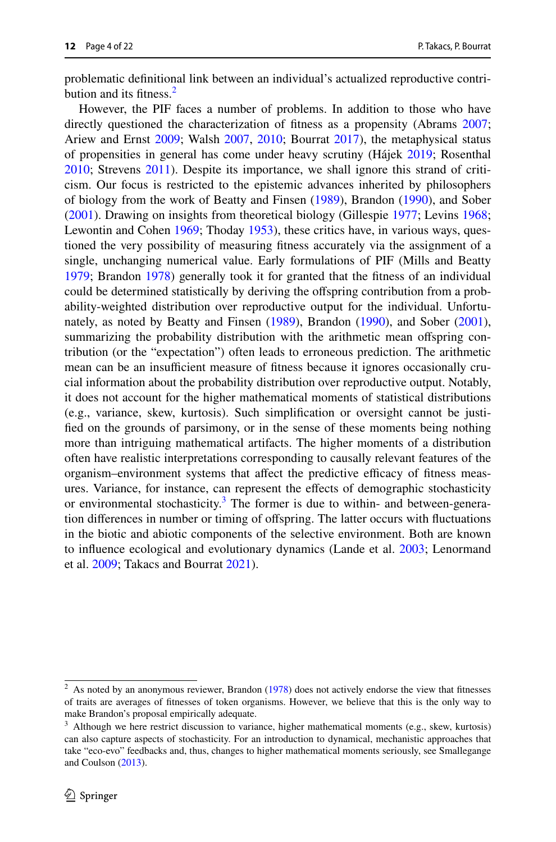problematic defnitional link between an individual's actualized reproductive contribution and its fitness. $<sup>2</sup>$ </sup>

However, the PIF faces a number of problems. In addition to those who have directly questioned the characterization of ftness as a propensity (Abrams [2007;](#page-20-3) Ariew and Ernst [2009](#page-20-4); Walsh [2007](#page-21-5), [2010](#page-21-6); Bourrat [2017](#page-20-5)), the metaphysical status of propensities in general has come under heavy scrutiny (Hájek [2019](#page-20-6); Rosenthal [2010](#page-21-7); Strevens [2011](#page-21-8)). Despite its importance, we shall ignore this strand of criticism. Our focus is restricted to the epistemic advances inherited by philosophers of biology from the work of Beatty and Finsen ([1989\)](#page-20-0), Brandon ([1990\)](#page-20-1), and Sober [\(2001](#page-21-0)). Drawing on insights from theoretical biology (Gillespie [1977](#page-20-7); Levins [1968;](#page-20-8) Lewontin and Cohen [1969;](#page-20-9) Thoday [1953](#page-21-9)), these critics have, in various ways, questioned the very possibility of measuring ftness accurately via the assignment of a single, unchanging numerical value. Early formulations of PIF (Mills and Beatty [1979](#page-21-1); Brandon [1978\)](#page-20-2) generally took it for granted that the ftness of an individual could be determined statistically by deriving the ofspring contribution from a probability-weighted distribution over reproductive output for the individual. Unfortunately, as noted by Beatty and Finsen ([1989\)](#page-20-0), Brandon ([1990\)](#page-20-1), and Sober ([2001\)](#page-21-0), summarizing the probability distribution with the arithmetic mean offspring contribution (or the "expectation") often leads to erroneous prediction. The arithmetic mean can be an insufficient measure of fitness because it ignores occasionally crucial information about the probability distribution over reproductive output. Notably, it does not account for the higher mathematical moments of statistical distributions (e.g., variance, skew, kurtosis). Such simplifcation or oversight cannot be justifed on the grounds of parsimony, or in the sense of these moments being nothing more than intriguing mathematical artifacts. The higher moments of a distribution often have realistic interpretations corresponding to causally relevant features of the organism–environment systems that affect the predictive efficacy of fitness measures. Variance, for instance, can represent the efects of demographic stochasticity or environmental stochasticity.<sup>[3](#page-3-1)</sup> The former is due to within- and between-generation diferences in number or timing of ofspring. The latter occurs with fuctuations in the biotic and abiotic components of the selective environment. Both are known to infuence ecological and evolutionary dynamics (Lande et al. [2003;](#page-20-10) Lenormand et al. [2009;](#page-20-11) Takacs and Bourrat [2021\)](#page-21-10).

<span id="page-3-0"></span> $2$  As noted by an anonymous reviewer, Brandon [\(1978](#page-20-2)) does not actively endorse the view that fitnesses of traits are averages of ftnesses of token organisms. However, we believe that this is the only way to make Brandon's proposal empirically adequate.

<span id="page-3-1"></span> $3$  Although we here restrict discussion to variance, higher mathematical moments (e.g., skew, kurtosis) can also capture aspects of stochasticity. For an introduction to dynamical, mechanistic approaches that take "eco-evo" feedbacks and, thus, changes to higher mathematical moments seriously, see Smallegange and Coulson ([2013\)](#page-21-11).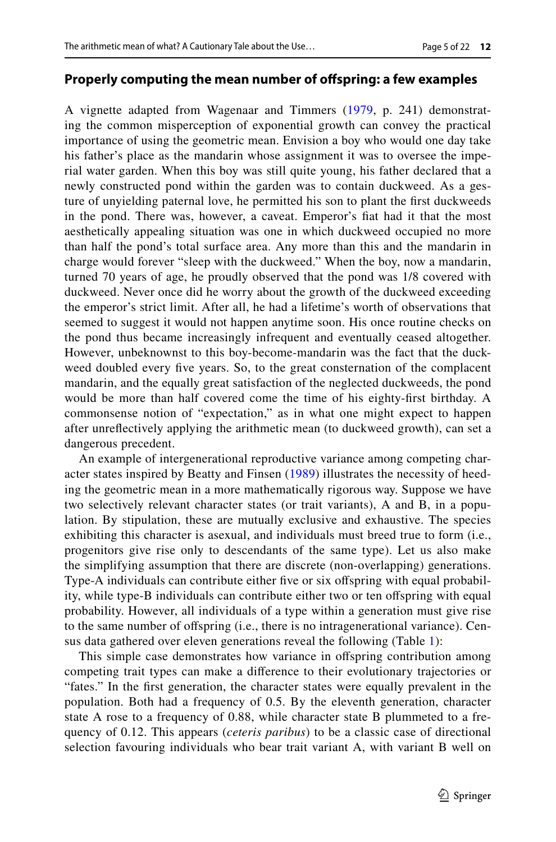#### **Properly computing the mean number of ofspring: a few examples**

A vignette adapted from Wagenaar and Timmers ([1979](#page-21-12), p. 241) demonstrating the common misperception of exponential growth can convey the practical importance of using the geometric mean. Envision a boy who would one day take his father's place as the mandarin whose assignment it was to oversee the imperial water garden. When this boy was still quite young, his father declared that a newly constructed pond within the garden was to contain duckweed. As a gesture of unyielding paternal love, he permitted his son to plant the frst duckweeds in the pond. There was, however, a caveat. Emperor's fat had it that the most aesthetically appealing situation was one in which duckweed occupied no more than half the pond's total surface area. Any more than this and the mandarin in charge would forever "sleep with the duckweed." When the boy, now a mandarin, turned 70 years of age, he proudly observed that the pond was 1/8 covered with duckweed. Never once did he worry about the growth of the duckweed exceeding the emperor's strict limit. After all, he had a lifetime's worth of observations that seemed to suggest it would not happen anytime soon. His once routine checks on the pond thus became increasingly infrequent and eventually ceased altogether. However, unbeknownst to this boy-become-mandarin was the fact that the duckweed doubled every fve years. So, to the great consternation of the complacent mandarin, and the equally great satisfaction of the neglected duckweeds, the pond would be more than half covered come the time of his eighty-frst birthday. A commonsense notion of "expectation," as in what one might expect to happen after unrefectively applying the arithmetic mean (to duckweed growth), can set a dangerous precedent.

An example of intergenerational reproductive variance among competing character states inspired by Beatty and Finsen ([1989](#page-20-0)) illustrates the necessity of heeding the geometric mean in a more mathematically rigorous way. Suppose we have two selectively relevant character states (or trait variants), A and B, in a population. By stipulation, these are mutually exclusive and exhaustive. The species exhibiting this character is asexual, and individuals must breed true to form (i.e., progenitors give rise only to descendants of the same type). Let us also make the simplifying assumption that there are discrete (non-overlapping) generations. Type-A individuals can contribute either five or six offspring with equal probability, while type-B individuals can contribute either two or ten offspring with equal probability. However, all individuals of a type within a generation must give rise to the same number of ofspring (i.e., there is no intragenerational variance). Census data gathered over eleven generations reveal the following (Table [1](#page-5-0)):

This simple case demonstrates how variance in offspring contribution among competing trait types can make a diference to their evolutionary trajectories or "fates." In the frst generation, the character states were equally prevalent in the population. Both had a frequency of 0.5. By the eleventh generation, character state A rose to a frequency of 0.88, while character state B plummeted to a frequency of 0.12. This appears (*ceteris paribus*) to be a classic case of directional selection favouring individuals who bear trait variant A, with variant B well on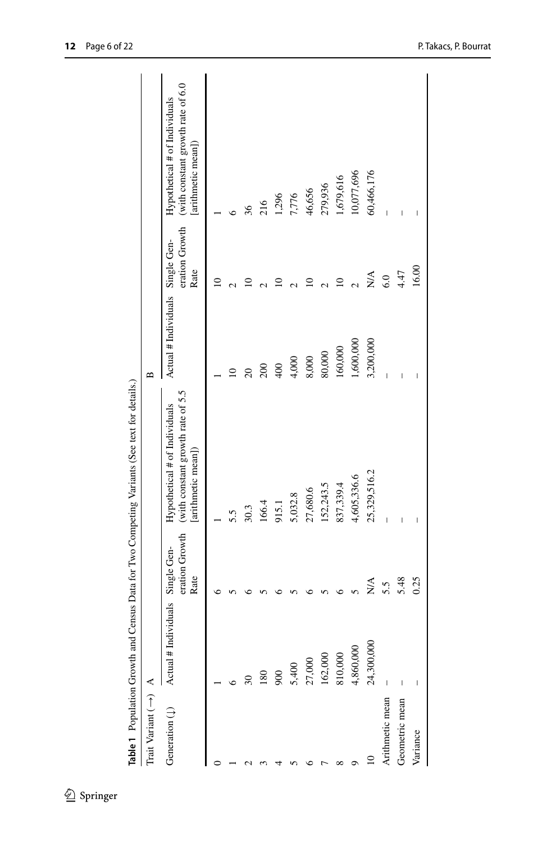<span id="page-5-0"></span>

| Table 1 Population Growth and   |            |                                       | Census Data for Two Competing Variants (See text for details.)                          |                                  |                        |                                                                                         |
|---------------------------------|------------|---------------------------------------|-----------------------------------------------------------------------------------------|----------------------------------|------------------------|-----------------------------------------------------------------------------------------|
| Trait Variant $(\rightarrow)$ A |            |                                       |                                                                                         | $\mathbf{a}$                     |                        |                                                                                         |
| Generation $(1)$ Actual # Inc   | tividuals  | eration Growth<br>Single Gen-<br>Rate | (with constant growth rate of 5.5<br>Hypothetical $#$ of Individuals<br>arithmetic mean | Actual # Individuals Single Gen- | eration Growth<br>Rate | (with constant growth rate of 6.0<br>Hypothetical # of Individuals<br>[arithmetic mean] |
|                                 |            |                                       |                                                                                         |                                  | $\overline{a}$         |                                                                                         |
|                                 |            |                                       | 5.5                                                                                     |                                  |                        |                                                                                         |
|                                 |            |                                       | 30.3                                                                                    |                                  |                        | 36                                                                                      |
|                                 | 180        |                                       | 166.4                                                                                   | 200                              |                        | 216                                                                                     |
|                                 | 900        |                                       | 915.1                                                                                   | 400                              |                        | 1,296                                                                                   |
|                                 | 5,400      |                                       | 5,032.8                                                                                 | 4,000                            |                        | 7,776                                                                                   |
|                                 | 27,000     |                                       | 27,680.6                                                                                | 8,000                            |                        | 46,656                                                                                  |
|                                 | 162,000    |                                       | 152,243.5                                                                               | 80,000                           |                        | 279,936                                                                                 |
|                                 | 810,000    |                                       | 837,339.4                                                                               | 160,000                          |                        | 1,679,616                                                                               |
|                                 | 4,860,000  |                                       | 4,605,336.6                                                                             | 1,600,000                        |                        | 10,077,696                                                                              |
|                                 | 24,300,000 | $\stackrel{\triangle}{\geq}$          | 25,329,516.2                                                                            | 3,200,000                        | $\sum_{i=1}^{n}$       | 60,466,176                                                                              |
| Arithmetic mean                 | I          | 5.5                                   | I                                                                                       | I                                | 6.0                    |                                                                                         |
| Geometric mean                  | I          | 5.48                                  |                                                                                         | I                                | 4.47                   |                                                                                         |
| Variance                        |            | 0.25                                  |                                                                                         |                                  | 16.00                  |                                                                                         |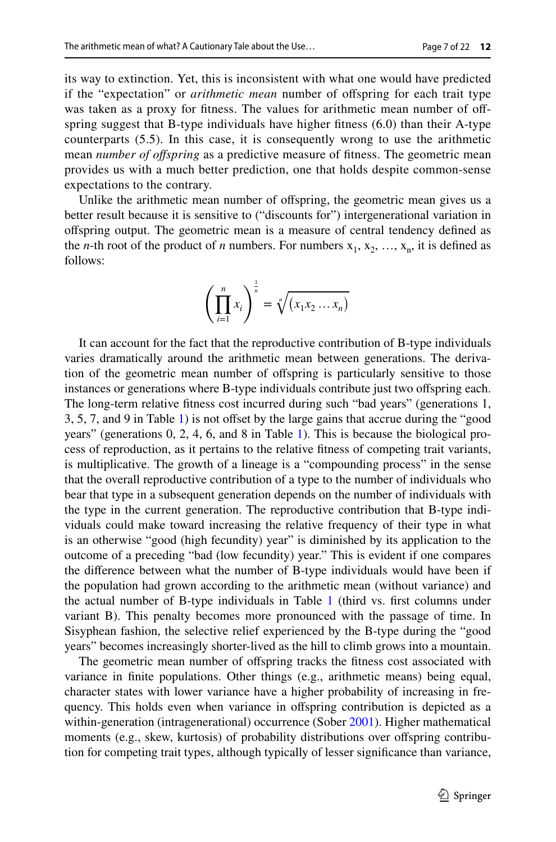its way to extinction. Yet, this is inconsistent with what one would have predicted if the "expectation" or *arithmetic mean* number of ofspring for each trait type was taken as a proxy for fitness. The values for arithmetic mean number of offspring suggest that B-type individuals have higher ftness (6.0) than their A-type counterparts (5.5). In this case, it is consequently wrong to use the arithmetic mean *number of ofspring* as a predictive measure of ftness. The geometric mean provides us with a much better prediction, one that holds despite common-sense expectations to the contrary.

Unlike the arithmetic mean number of ofspring, the geometric mean gives us a better result because it is sensitive to ("discounts for") intergenerational variation in ofspring output. The geometric mean is a measure of central tendency defned as the *n*-th root of the product of *n* numbers. For numbers  $x_1, x_2, ..., x_n$ , it is defined as follows:

$$
\left(\prod_{i=1}^n x_i\right)^{\frac{1}{n}} = \sqrt[n]{\left(x_1 x_2 \dots x_n\right)}
$$

It can account for the fact that the reproductive contribution of B-type individuals varies dramatically around the arithmetic mean between generations. The derivation of the geometric mean number of ofspring is particularly sensitive to those instances or generations where B-type individuals contribute just two ofspring each. The long-term relative ftness cost incurred during such "bad years" (generations 1, 3, 5, 7, and 9 in Table [1\)](#page-5-0) is not ofset by the large gains that accrue during the "good years" (generations 0, 2, 4, 6, and 8 in Table [1\)](#page-5-0). This is because the biological process of reproduction, as it pertains to the relative ftness of competing trait variants, is multiplicative. The growth of a lineage is a "compounding process" in the sense that the overall reproductive contribution of a type to the number of individuals who bear that type in a subsequent generation depends on the number of individuals with the type in the current generation. The reproductive contribution that B-type individuals could make toward increasing the relative frequency of their type in what is an otherwise "good (high fecundity) year" is diminished by its application to the outcome of a preceding "bad (low fecundity) year." This is evident if one compares the diference between what the number of B-type individuals would have been if the population had grown according to the arithmetic mean (without variance) and the actual number of B-type individuals in Table  $1$  (third vs. first columns under variant B). This penalty becomes more pronounced with the passage of time. In Sisyphean fashion, the selective relief experienced by the B-type during the "good years" becomes increasingly shorter-lived as the hill to climb grows into a mountain.

The geometric mean number of ofspring tracks the ftness cost associated with variance in fnite populations. Other things (e.g., arithmetic means) being equal, character states with lower variance have a higher probability of increasing in frequency. This holds even when variance in ofspring contribution is depicted as a within-generation (intragenerational) occurrence (Sober [2001](#page-21-0)). Higher mathematical moments (e.g., skew, kurtosis) of probability distributions over offspring contribution for competing trait types, although typically of lesser signifcance than variance,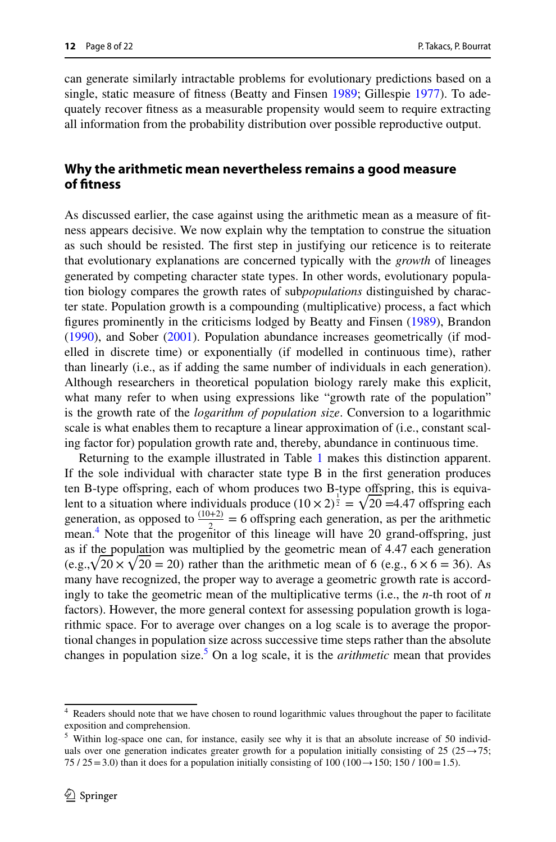can generate similarly intractable problems for evolutionary predictions based on a single, static measure of ftness (Beatty and Finsen [1989](#page-20-0); Gillespie [1977\)](#page-20-7). To adequately recover ftness as a measurable propensity would seem to require extracting all information from the probability distribution over possible reproductive output.

## **Why the arithmetic mean nevertheless remains a good measure of ftness**

As discussed earlier, the case against using the arithmetic mean as a measure of ftness appears decisive. We now explain why the temptation to construe the situation as such should be resisted. The frst step in justifying our reticence is to reiterate that evolutionary explanations are concerned typically with the *growth* of lineages generated by competing character state types. In other words, evolutionary population biology compares the growth rates of sub*populations* distinguished by character state. Population growth is a compounding (multiplicative) process, a fact which fgures prominently in the criticisms lodged by Beatty and Finsen ([1989\)](#page-20-0), Brandon [\(1990](#page-20-1)), and Sober [\(2001](#page-21-0)). Population abundance increases geometrically (if modelled in discrete time) or exponentially (if modelled in continuous time), rather than linearly (i.e., as if adding the same number of individuals in each generation). Although researchers in theoretical population biology rarely make this explicit, what many refer to when using expressions like "growth rate of the population" is the growth rate of the *logarithm of population size*. Conversion to a logarithmic scale is what enables them to recapture a linear approximation of (i.e., constant scaling factor for) population growth rate and, thereby, abundance in continuous time.

Returning to the example illustrated in Table [1](#page-5-0) makes this distinction apparent. If the sole individual with character state type B in the frst generation produces ten B-type offspring, each of whom produces two  $B_1$ -type offspring, this is equivalent to a situation where individuals produce  $(10 \times 2)^{\frac{1}{2}} = \sqrt{20} = 4.47$  offspring each generation, as opposed to  $\frac{(10+2)}{2}$  = 6 offspring each generation, as per the arithmetic mean.<sup>[4](#page-7-0)</sup> Note that the progenitor of this lineage will have 20 grand-offspring, just as if the population was multiplied by the geometric mean of 4.47 each generation  $(e.g., \sqrt{20} \times \sqrt{20} = 20)$  rather than the arithmetic mean of 6 (e.g.,  $6 \times 6 = 36$ ). As many have recognized, the proper way to average a geometric growth rate is accordingly to take the geometric mean of the multiplicative terms (i.e., the *n*-th root of *n* factors). However, the more general context for assessing population growth is logarithmic space. For to average over changes on a log scale is to average the proportional changes in population size across successive time steps rather than the absolute changes in population size.[5](#page-7-1) On a log scale, it is the *arithmetic* mean that provides

<span id="page-7-0"></span><sup>4</sup> Readers should note that we have chosen to round logarithmic values throughout the paper to facilitate exposition and comprehension.

<span id="page-7-1"></span><sup>5</sup> Within log-space one can, for instance, easily see why it is that an absolute increase of 50 individuals over one generation indicates greater growth for a population initially consisting of 25  $(25 \rightarrow 75)$ ; 75 / 25 = 3.0) than it does for a population initially consisting of 100 (100  $\rightarrow$  150; 150 / 100 = 1.5).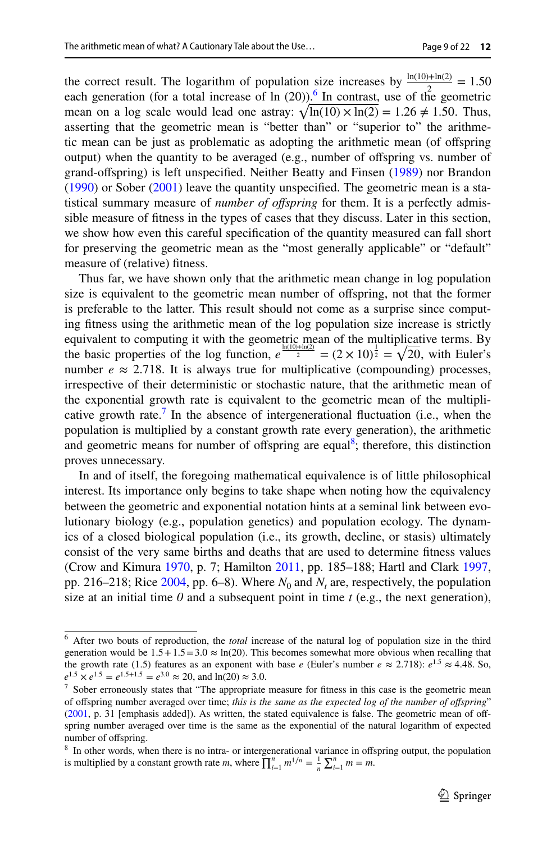the correct result. The logarithm of population size increases by  $\frac{\ln(10)+\ln(2)}{2} = 1.50$ each generation (for a total increase of  $\ln(20)$ ).<sup>[6](#page-8-0)</sup> In contrast, use of the geometric mean on a log scale would lead one astray:  $\sqrt{\ln(10) \times \ln(2)} = 1.26 \neq 1.50$ . Thus, asserting that the geometric mean is "better than" or "superior to" the arithmetic mean can be just as problematic as adopting the arithmetic mean (of ofspring output) when the quantity to be averaged (e.g., number of ofspring vs. number of grand-ofspring) is left unspecifed. Neither Beatty and Finsen ([1989\)](#page-20-0) nor Brandon  $(1990)$  $(1990)$  or Sober  $(2001)$  $(2001)$  leave the quantity unspecified. The geometric mean is a statistical summary measure of *number of ofspring* for them. It is a perfectly admissible measure of ftness in the types of cases that they discuss. Later in this section, we show how even this careful specifcation of the quantity measured can fall short for preserving the geometric mean as the "most generally applicable" or "default" measure of (relative) ftness.

Thus far, we have shown only that the arithmetic mean change in log population size is equivalent to the geometric mean number of offspring, not that the former is preferable to the latter. This result should not come as a surprise since computing ftness using the arithmetic mean of the log population size increase is strictly equivalent to computing it with the geometric mean of the multiplicative terms. By the basic properties of the log function,  $e^{\frac{\ln((10)+\ln(2))}{2}} = (2 \times 10)^{\frac{1}{2}} = \sqrt{20}$ , with Euler's number  $e \approx 2.718$ . It is always true for multiplicative (compounding) processes, irrespective of their deterministic or stochastic nature, that the arithmetic mean of the exponential growth rate is equivalent to the geometric mean of the multipli-cative growth rate.<sup>[7](#page-8-1)</sup> In the absence of intergenerational fluctuation (i.e., when the population is multiplied by a constant growth rate every generation), the arithmetic and geometric means for number of offspring are equal<sup>8</sup>; therefore, this distinction proves unnecessary.

In and of itself, the foregoing mathematical equivalence is of little philosophical interest. Its importance only begins to take shape when noting how the equivalency between the geometric and exponential notation hints at a seminal link between evolutionary biology (e.g., population genetics) and population ecology. The dynamics of a closed biological population (i.e., its growth, decline, or stasis) ultimately consist of the very same births and deaths that are used to determine ftness values (Crow and Kimura [1970](#page-20-12), p. 7; Hamilton [2011,](#page-20-13) pp. 185–188; Hartl and Clark [1997,](#page-20-14) pp. 216–218; Rice  $2004$ , pp. 6–8). Where  $N_0$  and  $N_t$  are, respectively, the population size at an initial time  $\theta$  and a subsequent point in time  $t$  (e.g., the next generation),

<span id="page-8-0"></span><sup>6</sup> After two bouts of reproduction, the *total* increase of the natural log of population size in the third generation would be  $1.5 + 1.5 = 3.0 \approx \ln(20)$ . This becomes somewhat more obvious when recalling that the growth rate (1.5) features as an exponent with base *e* (Euler's number  $e \approx 2.718$ ):  $e^{1.5} \approx 4.48$ . So,  $e^{1.5} \times e^{1.5} = e^{1.5+1.5} = e^{3.0} \approx 20$ , and ln(20)  $\approx 3.0$ .

<span id="page-8-1"></span> $7$  Sober erroneously states that "The appropriate measure for fitness in this case is the geometric mean of ofspring number averaged over time; *this is the same as the expected log of the number of ofspring*" ([2001,](#page-21-0) p. 31 [emphasis added]). As written, the stated equivalence is false. The geometric mean of offspring number averaged over time is the same as the exponential of the natural logarithm of expected number of ofspring.

<span id="page-8-2"></span><sup>&</sup>lt;sup>8</sup> In other words, when there is no intra- or intergenerational variance in offspring output, the population is multiplied by a constant growth rate *m*, where  $\prod_{i=1}^{n} m^{1/n} = \frac{1}{n} \sum_{i=1}^{n} m = m$ .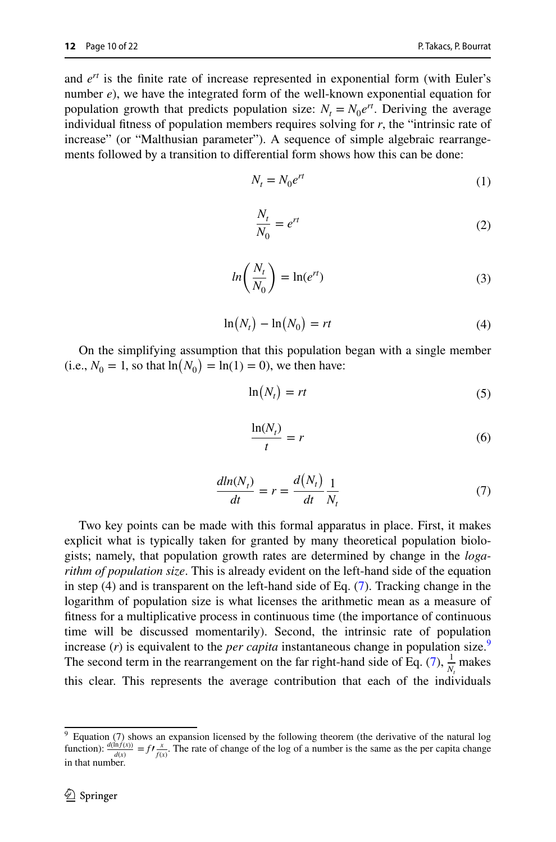and *ert* is the fnite rate of increase represented in exponential form (with Euler's number *e*), we have the integrated form of the well-known exponential equation for population growth that predicts population size:  $N_t = N_0 e^{rt}$ . Deriving the average individual ftness of population members requires solving for *r*, the "intrinsic rate of increase" (or "Malthusian parameter"). A sequence of simple algebraic rearrangements followed by a transition to diferential form shows how this can be done:

$$
N_t = N_0 e^{rt} \tag{1}
$$

$$
\frac{N_t}{N_0} = e^{rt} \tag{2}
$$

$$
ln\left(\frac{N_t}{N_0}\right) = ln(e^{rt})
$$
\n(3)

$$
\ln(N_t) - \ln(N_0) = rt \tag{4}
$$

On the simplifying assumption that this population began with a single member (i.e.,  $N_0 = 1$ , so that  $\ln(N_0) = \ln(1) = 0$ ), we then have:

$$
\ln(N_t) = rt \tag{5}
$$

<span id="page-9-0"></span>
$$
\frac{\ln(N_t)}{t} = r \tag{6}
$$

$$
\frac{dln(N_t)}{dt} = r = \frac{d(N_t)}{dt} \frac{1}{N_t}
$$
\n(7)

Two key points can be made with this formal apparatus in place. First, it makes explicit what is typically taken for granted by many theoretical population biologists; namely, that population growth rates are determined by change in the *logarithm of population size*. This is already evident on the left-hand side of the equation in step  $(4)$  and is transparent on the left-hand side of Eq.  $(7)$  $(7)$ . Tracking change in the logarithm of population size is what licenses the arithmetic mean as a measure of ftness for a multiplicative process in continuous time (the importance of continuous time will be discussed momentarily). Second, the intrinsic rate of population increase  $(r)$  is equivalent to the *per capita* instantaneous change in population size.<sup>[9](#page-9-1)</sup> The second term in the rearrangement on the far right-hand side of Eq. [\(7](#page-9-0)),  $\frac{1}{N_t}$  makes this clear. This represents the average contribution that each of the individuals

<span id="page-9-1"></span><sup>&</sup>lt;sup>9</sup> Equation (7) shows an expansion licensed by the following theorem (the derivative of the natural log function):  $\frac{d(\hat{ln}f(x))}{d(x)} = f\frac{x}{f(x)}$ . The rate of change of the log of a number is the same as the per capita change in that number.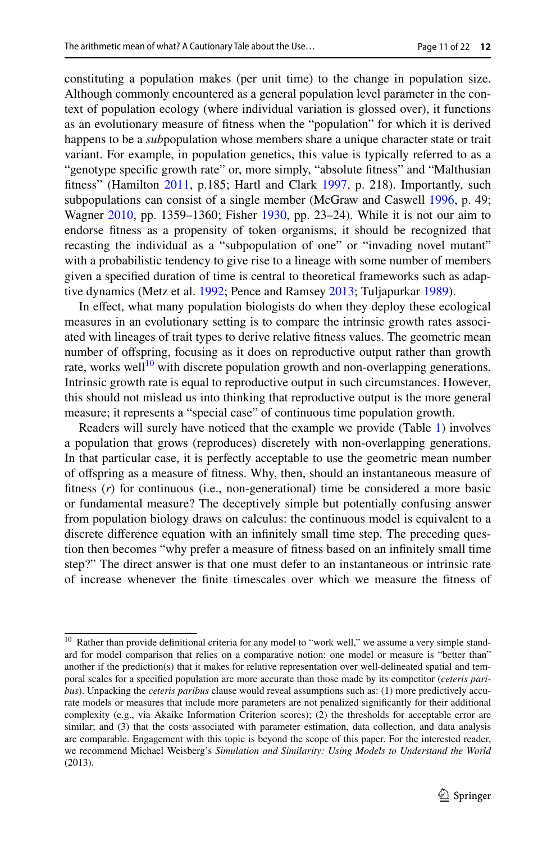constituting a population makes (per unit time) to the change in population size. Although commonly encountered as a general population level parameter in the context of population ecology (where individual variation is glossed over), it functions as an evolutionary measure of ftness when the "population" for which it is derived happens to be a *sub*population whose members share a unique character state or trait variant. For example, in population genetics, this value is typically referred to as a "genotype specifc growth rate" or, more simply, "absolute ftness" and "Malthusian fitness" (Hamilton [2011,](#page-20-13) p.185; Hartl and Clark [1997,](#page-20-14) p. 218). Importantly, such subpopulations can consist of a single member (McGraw and Caswell [1996](#page-21-14), p. 49; Wagner [2010](#page-21-15), pp. 1359–1360; Fisher [1930,](#page-20-15) pp. 23–24). While it is not our aim to endorse ftness as a propensity of token organisms, it should be recognized that recasting the individual as a "subpopulation of one" or "invading novel mutant" with a probabilistic tendency to give rise to a lineage with some number of members given a specifed duration of time is central to theoretical frameworks such as adaptive dynamics (Metz et al. [1992](#page-21-16); Pence and Ramsey [2013](#page-21-17); Tuljapurkar [1989\)](#page-21-18).

In efect, what many population biologists do when they deploy these ecological measures in an evolutionary setting is to compare the intrinsic growth rates associated with lineages of trait types to derive relative ftness values. The geometric mean number of ofspring, focusing as it does on reproductive output rather than growth rate, works well<sup>10</sup> with discrete population growth and non-overlapping generations. Intrinsic growth rate is equal to reproductive output in such circumstances. However, this should not mislead us into thinking that reproductive output is the more general measure; it represents a "special case" of continuous time population growth.

Readers will surely have noticed that the example we provide (Table [1](#page-5-0)) involves a population that grows (reproduces) discretely with non-overlapping generations. In that particular case, it is perfectly acceptable to use the geometric mean number of ofspring as a measure of ftness. Why, then, should an instantaneous measure of ftness (*r*) for continuous (i.e., non-generational) time be considered a more basic or fundamental measure? The deceptively simple but potentially confusing answer from population biology draws on calculus: the continuous model is equivalent to a discrete diference equation with an infnitely small time step. The preceding question then becomes "why prefer a measure of ftness based on an infnitely small time step?" The direct answer is that one must defer to an instantaneous or intrinsic rate of increase whenever the fnite timescales over which we measure the ftness of

<span id="page-10-0"></span><sup>&</sup>lt;sup>10</sup> Rather than provide definitional criteria for any model to "work well," we assume a very simple standard for model comparison that relies on a comparative notion: one model or measure is "better than" another if the prediction(s) that it makes for relative representation over well-delineated spatial and temporal scales for a specifed population are more accurate than those made by its competitor (*ceteris paribus*). Unpacking the *ceteris paribus* clause would reveal assumptions such as: (1) more predictively accurate models or measures that include more parameters are not penalized signifcantly for their additional complexity (e.g., via Akaike Information Criterion scores); (2) the thresholds for acceptable error are similar; and (3) that the costs associated with parameter estimation, data collection, and data analysis are comparable. Engagement with this topic is beyond the scope of this paper. For the interested reader, we recommend Michael Weisberg's *Simulation and Similarity: Using Models to Understand the World* (2013).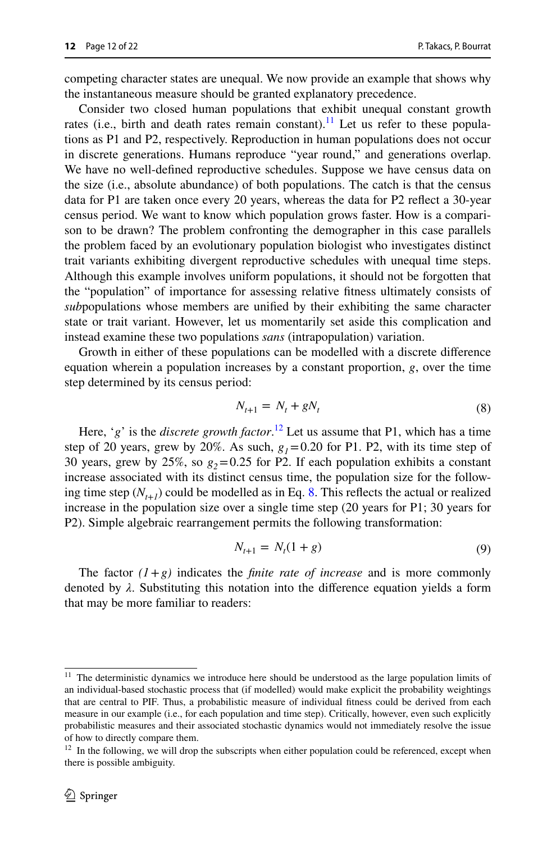competing character states are unequal. We now provide an example that shows why the instantaneous measure should be granted explanatory precedence.

Consider two closed human populations that exhibit unequal constant growth rates (i.e., birth and death rates remain constant).<sup>[11](#page-11-0)</sup> Let us refer to these populations as P1 and P2, respectively. Reproduction in human populations does not occur in discrete generations. Humans reproduce "year round," and generations overlap. We have no well-defned reproductive schedules. Suppose we have census data on the size (i.e., absolute abundance) of both populations. The catch is that the census data for P1 are taken once every 20 years, whereas the data for P2 refect a 30-year census period. We want to know which population grows faster. How is a comparison to be drawn? The problem confronting the demographer in this case parallels the problem faced by an evolutionary population biologist who investigates distinct trait variants exhibiting divergent reproductive schedules with unequal time steps. Although this example involves uniform populations, it should not be forgotten that the "population" of importance for assessing relative ftness ultimately consists of *sub*populations whose members are unifed by their exhibiting the same character state or trait variant. However, let us momentarily set aside this complication and instead examine these two populations *sans* (intrapopulation) variation.

Growth in either of these populations can be modelled with a discrete diference equation wherein a population increases by a constant proportion, *g*, over the time step determined by its census period:

<span id="page-11-2"></span>
$$
N_{t+1} = N_t + gN_t \tag{8}
$$

Here, '*g*' is the *discrete growth factor*. [12](#page-11-1) Let us assume that P1, which has a time step of 20 years, grew by 20%. As such,  $g_1 = 0.20$  for P1. P2, with its time step of 30 years, grew by 25%, so  $g_2$ =0.25 for P2. If each population exhibits a constant increase associated with its distinct census time, the population size for the following time step  $(N_{t+1})$  could be modelled as in Eq. [8.](#page-11-2) This reflects the actual or realized increase in the population size over a single time step (20 years for P1; 30 years for P2). Simple algebraic rearrangement permits the following transformation:

$$
N_{t+1} = N_t(1+g)
$$
 (9)

The factor  $(1+g)$  indicates the *finite rate of increase* and is more commonly denoted by *λ*. Substituting this notation into the diference equation yields a form that may be more familiar to readers:

<span id="page-11-0"></span><sup>&</sup>lt;sup>11</sup> The deterministic dynamics we introduce here should be understood as the large population limits of an individual-based stochastic process that (if modelled) would make explicit the probability weightings that are central to PIF. Thus, a probabilistic measure of individual ftness could be derived from each measure in our example (i.e., for each population and time step). Critically, however, even such explicitly probabilistic measures and their associated stochastic dynamics would not immediately resolve the issue of how to directly compare them.

<span id="page-11-1"></span> $12$  In the following, we will drop the subscripts when either population could be referenced, except when there is possible ambiguity.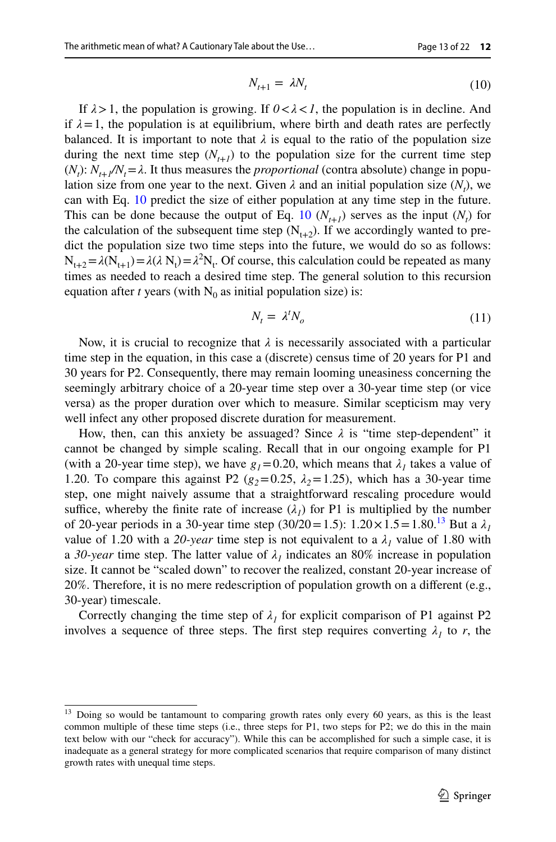<span id="page-12-0"></span>
$$
N_{t+1} = \lambda N_t \tag{10}
$$

If  $\lambda > 1$ , the population is growing. If  $0 < \lambda < 1$ , the population is in decline. And if  $\lambda = 1$ , the population is at equilibrium, where birth and death rates are perfectly balanced. It is important to note that  $\lambda$  is equal to the ratio of the population size during the next time step  $(N_{t+1})$  to the population size for the current time step  $(N_t): N_{t+1}/N_t = \lambda$ . It thus measures the *proportional* (contra absolute) change in population size from one year to the next. Given  $\lambda$  and an initial population size  $(N_t)$ , we can with Eq. [10](#page-12-0) predict the size of either population at any time step in the future. This can be done because the output of Eq. [10](#page-12-0)  $(N_{t+1})$  serves as the input  $(N_t)$  for the calculation of the subsequent time step  $(N_{t+2})$ . If we accordingly wanted to predict the population size two time steps into the future, we would do so as follows:  $N_{t+2} = \lambda(N_{t+1}) = \lambda(\lambda N_t) = \lambda^2 N_t$ . Of course, this calculation could be repeated as many times as needed to reach a desired time step. The general solution to this recursion equation after *t* years (with  $N_0$  as initial population size) is:

<span id="page-12-2"></span>
$$
N_t = \lambda^t N_o \tag{11}
$$

Now, it is crucial to recognize that  $\lambda$  is necessarily associated with a particular time step in the equation, in this case a (discrete) census time of 20 years for P1 and 30 years for P2. Consequently, there may remain looming uneasiness concerning the seemingly arbitrary choice of a 20-year time step over a 30-year time step (or vice versa) as the proper duration over which to measure. Similar scepticism may very well infect any other proposed discrete duration for measurement.

How, then, can this anxiety be assuaged? Since  $\lambda$  is "time step-dependent" it cannot be changed by simple scaling. Recall that in our ongoing example for P1 (with a 20-year time step), we have  $g_1 = 0.20$ , which means that  $\lambda_1$  takes a value of 1.20. To compare this against P2 ( $g_2$ =0.25,  $\lambda$ <sub>2</sub>=1.25), which has a 30-year time step, one might naively assume that a straightforward rescaling procedure would suffice, whereby the finite rate of increase  $(\lambda_1)$  for P1 is multiplied by the number of 20-year periods in a 30-year time step (30/20 = 1.5):  $1.20 \times 1.5 = 1.80$ .<sup>[13](#page-12-1)</sup> But a  $\lambda_1$ value of 1.20 with a 20-year time step is not equivalent to a  $\lambda_1$  value of 1.80 with a 30-year time step. The latter value of  $\lambda_1$  indicates an 80% increase in population size. It cannot be "scaled down" to recover the realized, constant 20-year increase of 20%. Therefore, it is no mere redescription of population growth on a diferent (e.g., 30-year) timescale.

Correctly changing the time step of  $\lambda_1$  for explicit comparison of P1 against P2 involves a sequence of three steps. The first step requires converting  $\lambda_1$  to r, the

<span id="page-12-1"></span><sup>&</sup>lt;sup>13</sup> Doing so would be tantamount to comparing growth rates only every 60 years, as this is the least common multiple of these time steps (i.e., three steps for P1, two steps for P2; we do this in the main text below with our "check for accuracy"). While this can be accomplished for such a simple case, it is inadequate as a general strategy for more complicated scenarios that require comparison of many distinct growth rates with unequal time steps.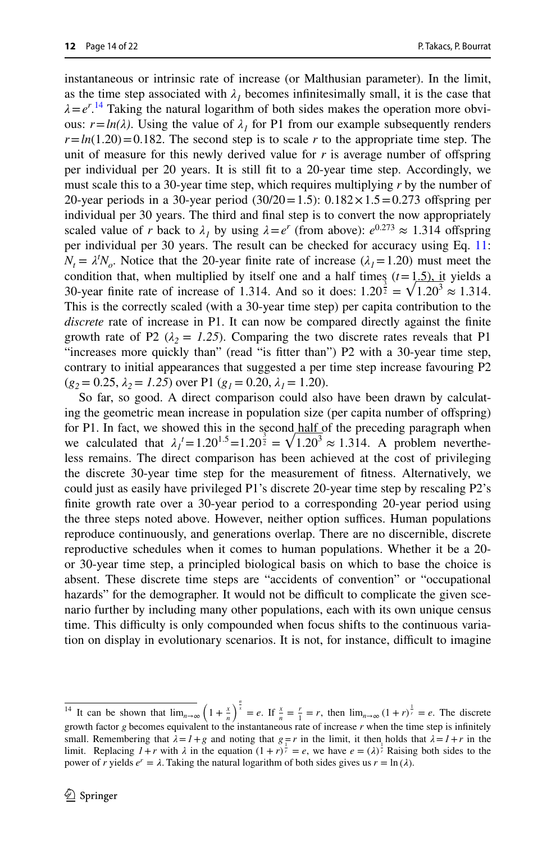instantaneous or intrinsic rate of increase (or Malthusian parameter). In the limit, as the time step associated with  $\lambda_1$  becomes infinitesimally small, it is the case that  $\lambda = e^{r}$ .<sup>14</sup> Taking the natural logarithm of both sides makes the operation more obvious:  $r = ln(\lambda)$ . Using the value of  $\lambda_1$  for P1 from our example subsequently renders  $r = ln(1.20) = 0.182$ . The second step is to scale *r* to the appropriate time step. The unit of measure for this newly derived value for  $r$  is average number of offspring per individual per 20 years. It is still ft to a 20-year time step. Accordingly, we must scale this to a 30-year time step, which requires multiplying *r* by the number of 20-year periods in a 30-year period  $(30/20=1.5)$ : 0.182 $\times$ 1.5=0.273 offspring per individual per 30 years. The third and fnal step is to convert the now appropriately scaled value of *r* back to  $\lambda_1$  by using  $\lambda = e^r$  (from above):  $e^{0.273} \approx 1.314$  offspring per individual per 30 years. The result can be checked for accuracy using Eq. [11:](#page-12-2)  $N_t = \lambda^t N_o$ . Notice that the 20-year finite rate of increase ( $\lambda_1 = 1.20$ ) must meet the condition that, when multiplied by itself one and a half times  $(t=1.5)$ , it yields a 30-year finite rate of increase of 1.314. And so it does:  $1.20^{\frac{3}{2}} = \sqrt{1.20^3} \approx 1.314$ . This is the correctly scaled (with a 30-year time step) per capita contribution to the *discrete* rate of increase in P1. It can now be compared directly against the fnite growth rate of P2 ( $\lambda_2 = 1.25$ ). Comparing the two discrete rates reveals that P1 "increases more quickly than" (read "is ftter than") P2 with a 30-year time step, contrary to initial appearances that suggested a per time step increase favouring P2  $(g_2 = 0.25, \lambda_2 = 1.25)$  over P1  $(g_1 = 0.20, \lambda_1 = 1.20)$ .

So far, so good. A direct comparison could also have been drawn by calculating the geometric mean increase in population size (per capita number of ofspring) for P1. In fact, we showed this in the second half of the preceding paragraph when we calculated that  $\lambda_1^t = 1.20^{1.5} = 1.20^{3.5} = \sqrt{1.20^3} \approx 1.314$ . A problem nevertheless remains. The direct comparison has been achieved at the cost of privileging the discrete 30-year time step for the measurement of ftness. Alternatively, we could just as easily have privileged P1's discrete 20-year time step by rescaling P2's fnite growth rate over a 30-year period to a corresponding 20-year period using the three steps noted above. However, neither option suffices. Human populations reproduce continuously, and generations overlap. There are no discernible, discrete reproductive schedules when it comes to human populations. Whether it be a 20 or 30-year time step, a principled biological basis on which to base the choice is absent. These discrete time steps are "accidents of convention" or "occupational hazards" for the demographer. It would not be difficult to complicate the given scenario further by including many other populations, each with its own unique census time. This difficulty is only compounded when focus shifts to the continuous variation on display in evolutionary scenarios. It is not, for instance, difficult to imagine

<span id="page-13-0"></span><sup>&</sup>lt;sup>14</sup> It can be shown that  $\lim_{n\to\infty} \left(1+\frac{x}{n}\right)^{\frac{n}{x}}=e$ . If  $\frac{x}{n}=\frac{r}{1}=r$ , then  $\lim_{n\to\infty} (1+r)^{\frac{1}{r}}=e$ . The discrete growth factor *g* becomes equivalent to the instantaneous rate of increase *r* when the time step is infnitely small. Remembering that  $\lambda = 1 + g$  and noting that  $g = r$  in the limit, it then holds that  $\lambda = 1 + r$  in the limit. Replacing  $1+r$  with  $\lambda$  in the equation  $(1+r)^{\frac{1}{r}} = e$ , we have  $e = (\lambda)^{\frac{1}{r}}$  Raising both sides to the power of *r* yields  $e^r = \lambda$ . Taking the natural logarithm of both sides gives us  $r = \ln(\lambda)$ .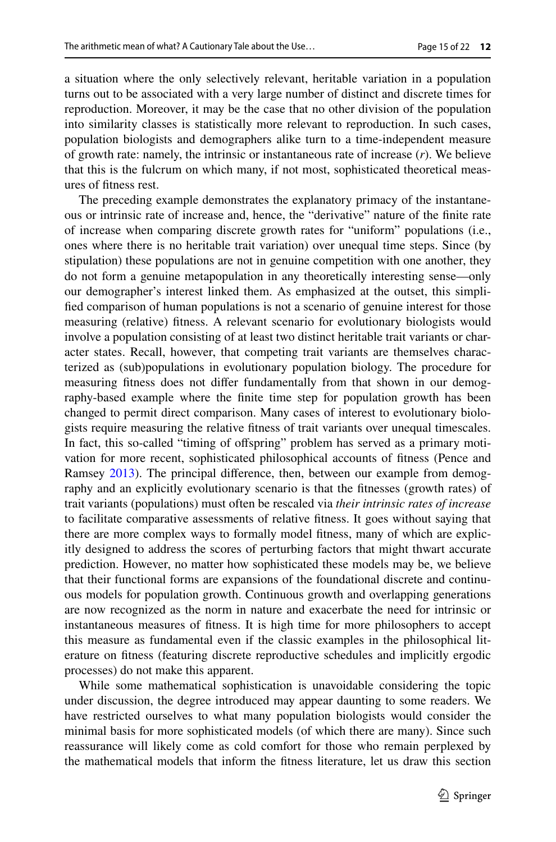a situation where the only selectively relevant, heritable variation in a population turns out to be associated with a very large number of distinct and discrete times for reproduction. Moreover, it may be the case that no other division of the population into similarity classes is statistically more relevant to reproduction. In such cases, population biologists and demographers alike turn to a time-independent measure of growth rate: namely, the intrinsic or instantaneous rate of increase (*r*). We believe that this is the fulcrum on which many, if not most, sophisticated theoretical measures of ftness rest.

The preceding example demonstrates the explanatory primacy of the instantaneous or intrinsic rate of increase and, hence, the "derivative" nature of the fnite rate of increase when comparing discrete growth rates for "uniform" populations (i.e., ones where there is no heritable trait variation) over unequal time steps. Since (by stipulation) these populations are not in genuine competition with one another, they do not form a genuine metapopulation in any theoretically interesting sense—only our demographer's interest linked them. As emphasized at the outset, this simplifed comparison of human populations is not a scenario of genuine interest for those measuring (relative) ftness. A relevant scenario for evolutionary biologists would involve a population consisting of at least two distinct heritable trait variants or character states. Recall, however, that competing trait variants are themselves characterized as (sub)populations in evolutionary population biology. The procedure for measuring ftness does not difer fundamentally from that shown in our demography-based example where the fnite time step for population growth has been changed to permit direct comparison. Many cases of interest to evolutionary biologists require measuring the relative ftness of trait variants over unequal timescales. In fact, this so-called "timing of ofspring" problem has served as a primary motivation for more recent, sophisticated philosophical accounts of ftness (Pence and Ramsey [2013\)](#page-21-17). The principal diference, then, between our example from demography and an explicitly evolutionary scenario is that the ftnesses (growth rates) of trait variants (populations) must often be rescaled via *their intrinsic rates of increase* to facilitate comparative assessments of relative ftness. It goes without saying that there are more complex ways to formally model ftness, many of which are explicitly designed to address the scores of perturbing factors that might thwart accurate prediction. However, no matter how sophisticated these models may be, we believe that their functional forms are expansions of the foundational discrete and continuous models for population growth. Continuous growth and overlapping generations are now recognized as the norm in nature and exacerbate the need for intrinsic or instantaneous measures of ftness. It is high time for more philosophers to accept this measure as fundamental even if the classic examples in the philosophical literature on ftness (featuring discrete reproductive schedules and implicitly ergodic processes) do not make this apparent.

While some mathematical sophistication is unavoidable considering the topic under discussion, the degree introduced may appear daunting to some readers. We have restricted ourselves to what many population biologists would consider the minimal basis for more sophisticated models (of which there are many). Since such reassurance will likely come as cold comfort for those who remain perplexed by the mathematical models that inform the ftness literature, let us draw this section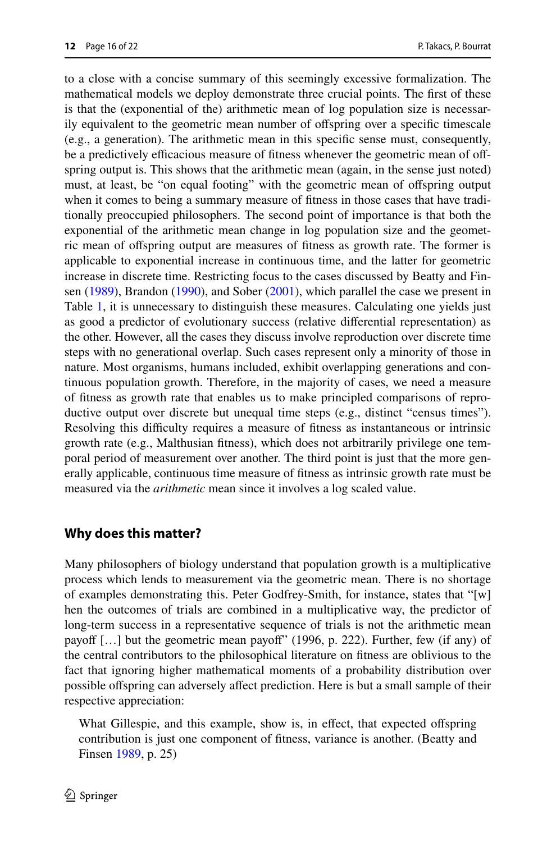to a close with a concise summary of this seemingly excessive formalization. The mathematical models we deploy demonstrate three crucial points. The frst of these is that the (exponential of the) arithmetic mean of log population size is necessarily equivalent to the geometric mean number of ofspring over a specifc timescale (e.g., a generation). The arithmetic mean in this specifc sense must, consequently, be a predictively efficacious measure of fitness whenever the geometric mean of offspring output is. This shows that the arithmetic mean (again, in the sense just noted) must, at least, be "on equal footing" with the geometric mean of ofspring output when it comes to being a summary measure of ftness in those cases that have traditionally preoccupied philosophers. The second point of importance is that both the exponential of the arithmetic mean change in log population size and the geometric mean of ofspring output are measures of ftness as growth rate. The former is applicable to exponential increase in continuous time, and the latter for geometric increase in discrete time. Restricting focus to the cases discussed by Beatty and Finsen [\(1989](#page-20-0)), Brandon ([1990\)](#page-20-1), and Sober [\(2001](#page-21-0)), which parallel the case we present in Table [1](#page-5-0), it is unnecessary to distinguish these measures. Calculating one yields just as good a predictor of evolutionary success (relative diferential representation) as the other. However, all the cases they discuss involve reproduction over discrete time steps with no generational overlap. Such cases represent only a minority of those in nature. Most organisms, humans included, exhibit overlapping generations and continuous population growth. Therefore, in the majority of cases, we need a measure of ftness as growth rate that enables us to make principled comparisons of reproductive output over discrete but unequal time steps (e.g., distinct "census times"). Resolving this difculty requires a measure of ftness as instantaneous or intrinsic growth rate (e.g., Malthusian ftness), which does not arbitrarily privilege one temporal period of measurement over another. The third point is just that the more generally applicable, continuous time measure of ftness as intrinsic growth rate must be measured via the *arithmetic* mean since it involves a log scaled value.

## **Why does this matter?**

Many philosophers of biology understand that population growth is a multiplicative process which lends to measurement via the geometric mean. There is no shortage of examples demonstrating this. Peter Godfrey-Smith, for instance, states that "[w] hen the outcomes of trials are combined in a multiplicative way, the predictor of long-term success in a representative sequence of trials is not the arithmetic mean payoff  $[...]$  but the geometric mean payoff" (1996, p. 222). Further, few (if any) of the central contributors to the philosophical literature on ftness are oblivious to the fact that ignoring higher mathematical moments of a probability distribution over possible ofspring can adversely afect prediction. Here is but a small sample of their respective appreciation:

What Gillespie, and this example, show is, in effect, that expected offspring contribution is just one component of ftness, variance is another. (Beatty and Finsen [1989](#page-20-0), p. 25)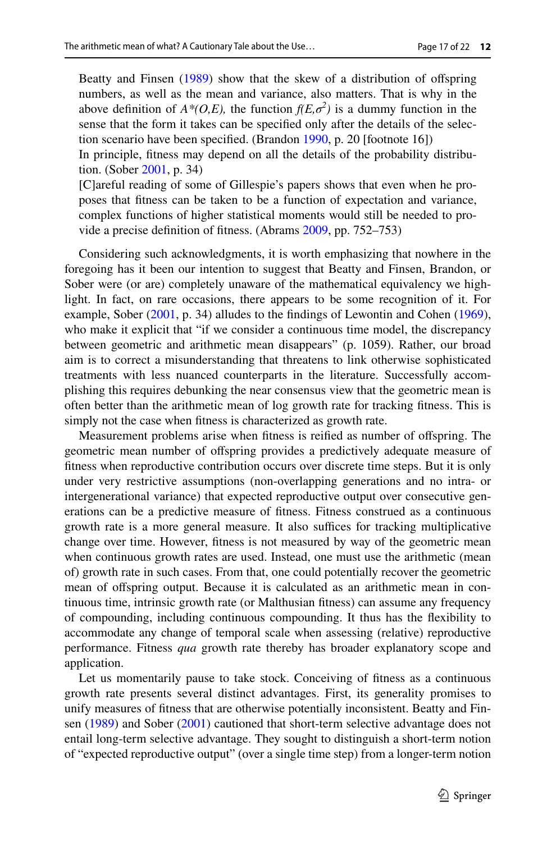Beatty and Finsen [\(1989](#page-20-0)) show that the skew of a distribution of offspring numbers, as well as the mean and variance, also matters. That is why in the above definition of  $A^*(O,E)$ , the function  $f(E,\sigma^2)$  is a dummy function in the sense that the form it takes can be specifed only after the details of the selection scenario have been specifed. (Brandon [1990](#page-20-1), p. 20 [footnote 16]) In principle, ftness may depend on all the details of the probability distribution. (Sober [2001](#page-21-0), p. 34) [C]areful reading of some of Gillespie's papers shows that even when he proposes that ftness can be taken to be a function of expectation and variance, complex functions of higher statistical moments would still be needed to provide a precise defnition of ftness. (Abrams [2009](#page-20-16), pp. 752–753)

Considering such acknowledgments, it is worth emphasizing that nowhere in the foregoing has it been our intention to suggest that Beatty and Finsen, Brandon, or Sober were (or are) completely unaware of the mathematical equivalency we highlight. In fact, on rare occasions, there appears to be some recognition of it. For example, Sober [\(2001](#page-21-0), p. 34) alludes to the findings of Lewontin and Cohen ([1969\)](#page-20-9), who make it explicit that "if we consider a continuous time model, the discrepancy between geometric and arithmetic mean disappears" (p. 1059). Rather, our broad aim is to correct a misunderstanding that threatens to link otherwise sophisticated treatments with less nuanced counterparts in the literature. Successfully accomplishing this requires debunking the near consensus view that the geometric mean is often better than the arithmetic mean of log growth rate for tracking ftness. This is simply not the case when ftness is characterized as growth rate.

Measurement problems arise when ftness is reifed as number of ofspring. The geometric mean number of ofspring provides a predictively adequate measure of ftness when reproductive contribution occurs over discrete time steps. But it is only under very restrictive assumptions (non-overlapping generations and no intra- or intergenerational variance) that expected reproductive output over consecutive generations can be a predictive measure of ftness. Fitness construed as a continuous growth rate is a more general measure. It also suffices for tracking multiplicative change over time. However, ftness is not measured by way of the geometric mean when continuous growth rates are used. Instead, one must use the arithmetic (mean of) growth rate in such cases. From that, one could potentially recover the geometric mean of ofspring output. Because it is calculated as an arithmetic mean in continuous time, intrinsic growth rate (or Malthusian ftness) can assume any frequency of compounding, including continuous compounding. It thus has the fexibility to accommodate any change of temporal scale when assessing (relative) reproductive performance. Fitness *qua* growth rate thereby has broader explanatory scope and application.

Let us momentarily pause to take stock. Conceiving of ftness as a continuous growth rate presents several distinct advantages. First, its generality promises to unify measures of ftness that are otherwise potentially inconsistent. Beatty and Finsen [\(1989](#page-20-0)) and Sober [\(2001](#page-21-0)) cautioned that short-term selective advantage does not entail long-term selective advantage. They sought to distinguish a short-term notion of "expected reproductive output" (over a single time step) from a longer-term notion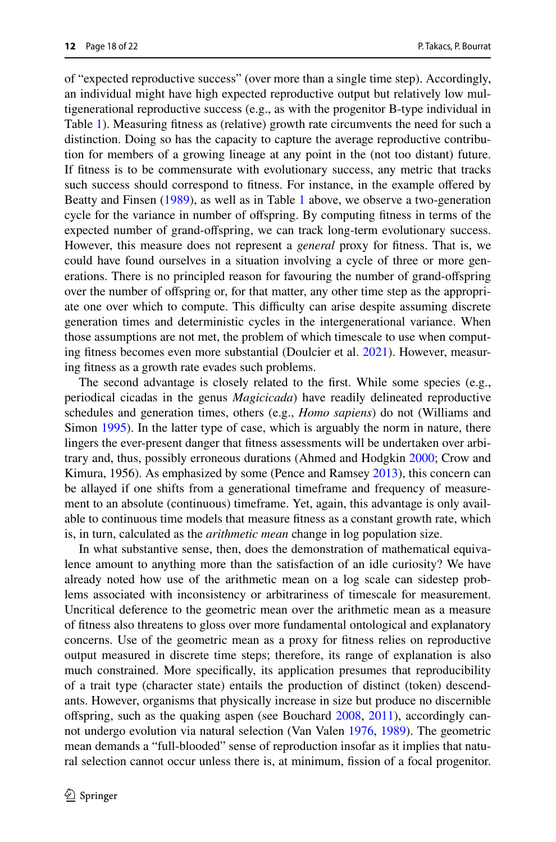of "expected reproductive success" (over more than a single time step). Accordingly, an individual might have high expected reproductive output but relatively low multigenerational reproductive success (e.g., as with the progenitor B-type individual in Table [1](#page-5-0)). Measuring ftness as (relative) growth rate circumvents the need for such a distinction. Doing so has the capacity to capture the average reproductive contribution for members of a growing lineage at any point in the (not too distant) future. If ftness is to be commensurate with evolutionary success, any metric that tracks such success should correspond to ftness. For instance, in the example ofered by Beatty and Finsen ([1989\)](#page-20-0), as well as in Table [1](#page-5-0) above, we observe a two-generation cycle for the variance in number of offspring. By computing fitness in terms of the expected number of grand-ofspring, we can track long-term evolutionary success. However, this measure does not represent a *general* proxy for ftness. That is, we could have found ourselves in a situation involving a cycle of three or more generations. There is no principled reason for favouring the number of grand-ofspring over the number of ofspring or, for that matter, any other time step as the appropriate one over which to compute. This difficulty can arise despite assuming discrete generation times and deterministic cycles in the intergenerational variance. When those assumptions are not met, the problem of which timescale to use when computing ftness becomes even more substantial (Doulcier et al. [2021\)](#page-20-17). However, measuring ftness as a growth rate evades such problems.

The second advantage is closely related to the frst. While some species (e.g., periodical cicadas in the genus *Magicicada*) have readily delineated reproductive schedules and generation times, others (e.g., *Homo sapiens*) do not (Williams and Simon [1995](#page-21-19)). In the latter type of case, which is arguably the norm in nature, there lingers the ever-present danger that ftness assessments will be undertaken over arbitrary and, thus, possibly erroneous durations (Ahmed and Hodgkin [2000;](#page-20-18) Crow and Kimura, 1956). As emphasized by some (Pence and Ramsey [2013\)](#page-21-17), this concern can be allayed if one shifts from a generational timeframe and frequency of measurement to an absolute (continuous) timeframe. Yet, again, this advantage is only available to continuous time models that measure ftness as a constant growth rate, which is, in turn, calculated as the *arithmetic mean* change in log population size.

In what substantive sense, then, does the demonstration of mathematical equivalence amount to anything more than the satisfaction of an idle curiosity? We have already noted how use of the arithmetic mean on a log scale can sidestep problems associated with inconsistency or arbitrariness of timescale for measurement. Uncritical deference to the geometric mean over the arithmetic mean as a measure of ftness also threatens to gloss over more fundamental ontological and explanatory concerns. Use of the geometric mean as a proxy for ftness relies on reproductive output measured in discrete time steps; therefore, its range of explanation is also much constrained. More specifcally, its application presumes that reproducibility of a trait type (character state) entails the production of distinct (token) descendants. However, organisms that physically increase in size but produce no discernible ofspring, such as the quaking aspen (see Bouchard [2008,](#page-20-19) [2011\)](#page-20-20), accordingly cannot undergo evolution via natural selection (Van Valen [1976,](#page-21-20) [1989](#page-21-21)). The geometric mean demands a "full-blooded" sense of reproduction insofar as it implies that natural selection cannot occur unless there is, at minimum, fssion of a focal progenitor.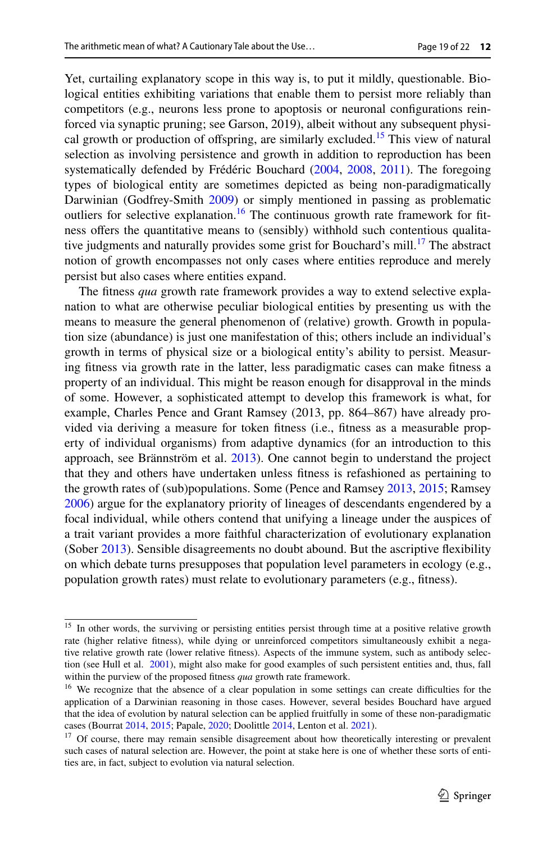Yet, curtailing explanatory scope in this way is, to put it mildly, questionable. Biological entities exhibiting variations that enable them to persist more reliably than competitors (e.g., neurons less prone to apoptosis or neuronal confgurations reinforced via synaptic pruning; see Garson, 2019), albeit without any subsequent physi-cal growth or production of offspring, are similarly excluded.<sup>[15](#page-18-0)</sup> This view of natural selection as involving persistence and growth in addition to reproduction has been systematically defended by Frédéric Bouchard [\(2004](#page-20-21), [2008,](#page-20-19) [2011\)](#page-20-20). The foregoing types of biological entity are sometimes depicted as being non-paradigmatically Darwinian (Godfrey-Smith [2009](#page-20-22)) or simply mentioned in passing as problematic outliers for selective explanation.<sup>16</sup> The continuous growth rate framework for fitness offers the quantitative means to (sensibly) withhold such contentious qualitative judgments and naturally provides some grist for Bouchard's mill.<sup>17</sup> The abstract notion of growth encompasses not only cases where entities reproduce and merely persist but also cases where entities expand.

The ftness *qua* growth rate framework provides a way to extend selective explanation to what are otherwise peculiar biological entities by presenting us with the means to measure the general phenomenon of (relative) growth. Growth in population size (abundance) is just one manifestation of this; others include an individual's growth in terms of physical size or a biological entity's ability to persist. Measuring ftness via growth rate in the latter, less paradigmatic cases can make ftness a property of an individual. This might be reason enough for disapproval in the minds of some. However, a sophisticated attempt to develop this framework is what, for example, Charles Pence and Grant Ramsey (2013, pp. 864–867) have already provided via deriving a measure for token ftness (i.e., ftness as a measurable property of individual organisms) from adaptive dynamics (for an introduction to this approach, see Brännström et al. [2013\)](#page-20-23). One cannot begin to understand the project that they and others have undertaken unless ftness is refashioned as pertaining to the growth rates of (sub)populations. Some (Pence and Ramsey [2013](#page-21-17), [2015](#page-21-22); Ramsey [2006](#page-21-23)) argue for the explanatory priority of lineages of descendants engendered by a focal individual, while others contend that unifying a lineage under the auspices of a trait variant provides a more faithful characterization of evolutionary explanation (Sober [2013](#page-21-24)). Sensible disagreements no doubt abound. But the ascriptive fexibility on which debate turns presupposes that population level parameters in ecology (e.g., population growth rates) must relate to evolutionary parameters (e.g., ftness).

<span id="page-18-0"></span><sup>&</sup>lt;sup>15</sup> In other words, the surviving or persisting entities persist through time at a positive relative growth rate (higher relative ftness), while dying or unreinforced competitors simultaneously exhibit a negative relative growth rate (lower relative ftness). Aspects of the immune system, such as antibody selection (see Hull et al. [2001](#page-20-24)), might also make for good examples of such persistent entities and, thus, fall within the purview of the proposed ftness *qua* growth rate framework.

<span id="page-18-1"></span><sup>&</sup>lt;sup>16</sup> We recognize that the absence of a clear population in some settings can create difficulties for the application of a Darwinian reasoning in those cases. However, several besides Bouchard have argued that the idea of evolution by natural selection can be applied fruitfully in some of these non-paradigmatic cases (Bourrat [2014](#page-20-25), [2015](#page-20-26); Papale, [2020;](#page-21-25) Doolittle [2014](#page-20-27), Lenton et al. [2021](#page-20-28)).

<span id="page-18-2"></span><sup>&</sup>lt;sup>17</sup> Of course, there may remain sensible disagreement about how theoretically interesting or prevalent such cases of natural selection are. However, the point at stake here is one of whether these sorts of entities are, in fact, subject to evolution via natural selection.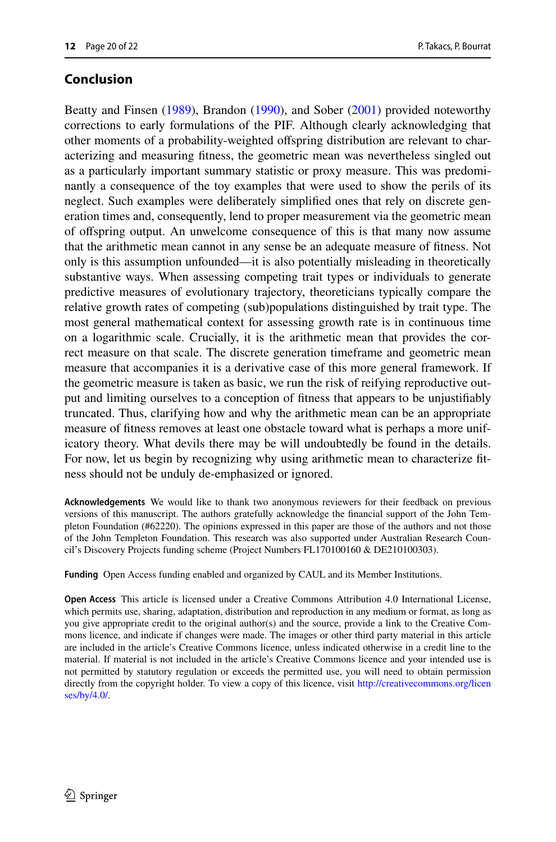# **Conclusion**

Beatty and Finsen [\(1989](#page-20-0)), Brandon [\(1990](#page-20-1)), and Sober [\(2001](#page-21-0)) provided noteworthy corrections to early formulations of the PIF. Although clearly acknowledging that other moments of a probability-weighted ofspring distribution are relevant to characterizing and measuring ftness, the geometric mean was nevertheless singled out as a particularly important summary statistic or proxy measure. This was predominantly a consequence of the toy examples that were used to show the perils of its neglect. Such examples were deliberately simplifed ones that rely on discrete generation times and, consequently, lend to proper measurement via the geometric mean of ofspring output. An unwelcome consequence of this is that many now assume that the arithmetic mean cannot in any sense be an adequate measure of ftness. Not only is this assumption unfounded—it is also potentially misleading in theoretically substantive ways. When assessing competing trait types or individuals to generate predictive measures of evolutionary trajectory, theoreticians typically compare the relative growth rates of competing (sub)populations distinguished by trait type. The most general mathematical context for assessing growth rate is in continuous time on a logarithmic scale. Crucially, it is the arithmetic mean that provides the correct measure on that scale. The discrete generation timeframe and geometric mean measure that accompanies it is a derivative case of this more general framework. If the geometric measure is taken as basic, we run the risk of reifying reproductive output and limiting ourselves to a conception of ftness that appears to be unjustifably truncated. Thus, clarifying how and why the arithmetic mean can be an appropriate measure of ftness removes at least one obstacle toward what is perhaps a more unificatory theory. What devils there may be will undoubtedly be found in the details. For now, let us begin by recognizing why using arithmetic mean to characterize ftness should not be unduly de-emphasized or ignored.

**Acknowledgements** We would like to thank two anonymous reviewers for their feedback on previous versions of this manuscript. The authors gratefully acknowledge the fnancial support of the John Templeton Foundation (#62220). The opinions expressed in this paper are those of the authors and not those of the John Templeton Foundation. This research was also supported under Australian Research Council's Discovery Projects funding scheme (Project Numbers FL170100160 & DE210100303).

**Funding** Open Access funding enabled and organized by CAUL and its Member Institutions.

**Open Access** This article is licensed under a Creative Commons Attribution 4.0 International License, which permits use, sharing, adaptation, distribution and reproduction in any medium or format, as long as you give appropriate credit to the original author(s) and the source, provide a link to the Creative Commons licence, and indicate if changes were made. The images or other third party material in this article are included in the article's Creative Commons licence, unless indicated otherwise in a credit line to the material. If material is not included in the article's Creative Commons licence and your intended use is not permitted by statutory regulation or exceeds the permitted use, you will need to obtain permission directly from the copyright holder. To view a copy of this licence, visit [http://creativecommons.org/licen](http://creativecommons.org/licenses/by/4.0/) [ses/by/4.0/](http://creativecommons.org/licenses/by/4.0/).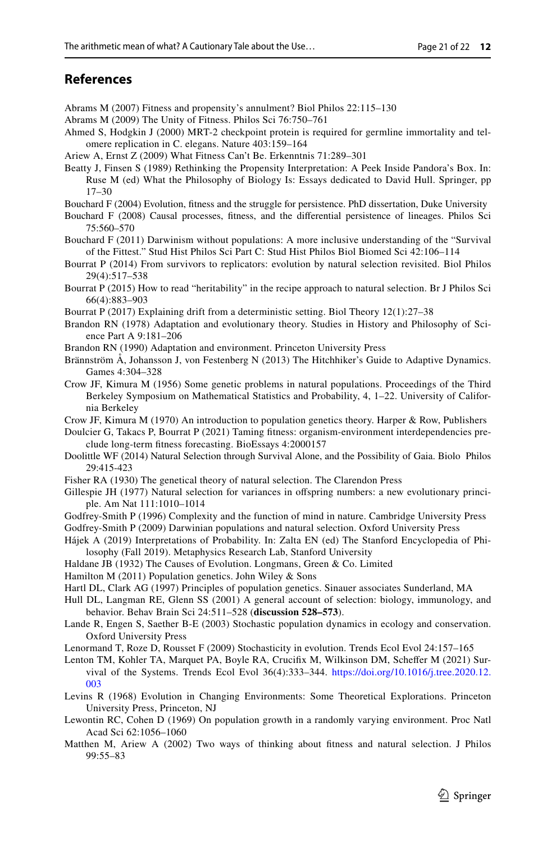# **References**

- <span id="page-20-3"></span>Abrams M (2007) Fitness and propensity's annulment? Biol Philos 22:115–130
- <span id="page-20-16"></span>Abrams M (2009) The Unity of Fitness. Philos Sci 76:750–761
- <span id="page-20-18"></span>Ahmed S, Hodgkin J (2000) MRT-2 checkpoint protein is required for germline immortality and telomere replication in C. elegans. Nature 403:159–164
- <span id="page-20-4"></span>Ariew A, Ernst Z (2009) What Fitness Can't Be. Erkenntnis 71:289–301
- <span id="page-20-0"></span>Beatty J, Finsen S (1989) Rethinking the Propensity Interpretation: A Peek Inside Pandora's Box. In: Ruse M (ed) What the Philosophy of Biology Is: Essays dedicated to David Hull. Springer, pp 17–30
- <span id="page-20-21"></span>Bouchard F (2004) Evolution, ftness and the struggle for persistence. PhD dissertation, Duke University
- <span id="page-20-19"></span>Bouchard F (2008) Causal processes, ftness, and the diferential persistence of lineages. Philos Sci 75:560–570
- <span id="page-20-20"></span>Bouchard F (2011) Darwinism without populations: A more inclusive understanding of the "Survival of the Fittest." Stud Hist Philos Sci Part C: Stud Hist Philos Biol Biomed Sci 42:106–114
- <span id="page-20-25"></span>Bourrat P (2014) From survivors to replicators: evolution by natural selection revisited. Biol Philos 29(4):517–538
- <span id="page-20-26"></span>Bourrat P (2015) How to read "heritability" in the recipe approach to natural selection. Br J Philos Sci 66(4):883–903
- <span id="page-20-5"></span>Bourrat P (2017) Explaining drift from a deterministic setting. Biol Theory 12(1):27–38
- <span id="page-20-2"></span>Brandon RN (1978) Adaptation and evolutionary theory. Studies in History and Philosophy of Science Part A 9:181–206
- <span id="page-20-1"></span>Brandon RN (1990) Adaptation and environment. Princeton University Press
- <span id="page-20-23"></span>Brännström Å, Johansson J, von Festenberg N (2013) The Hitchhiker's Guide to Adaptive Dynamics. Games 4:304–328
- Crow JF, Kimura M (1956) Some genetic problems in natural populations. Proceedings of the Third Berkeley Symposium on Mathematical Statistics and Probability, 4, 1–22. University of California Berkeley
- <span id="page-20-12"></span>Crow JF, Kimura M (1970) An introduction to population genetics theory. Harper & Row, Publishers
- <span id="page-20-17"></span>Doulcier G, Takacs P, Bourrat P (2021) Taming ftness: organism-environment interdependencies preclude long-term ftness forecasting. BioEssays 4:2000157
- <span id="page-20-27"></span>Doolittle WF (2014) Natural Selection through Survival Alone, and the Possibility of Gaia. Biolo Philos 29:415-423
- <span id="page-20-15"></span>Fisher RA (1930) The genetical theory of natural selection. The Clarendon Press
- <span id="page-20-7"></span>Gillespie JH (1977) Natural selection for variances in ofspring numbers: a new evolutionary principle. Am Nat 111:1010–1014
- Godfrey-Smith P (1996) Complexity and the function of mind in nature. Cambridge University Press
- <span id="page-20-22"></span>Godfrey-Smith P (2009) Darwinian populations and natural selection. Oxford University Press
- <span id="page-20-6"></span>Hájek A (2019) Interpretations of Probability. In: Zalta EN (ed) The Stanford Encyclopedia of Philosophy (Fall 2019). Metaphysics Research Lab, Stanford University
- Haldane JB (1932) The Causes of Evolution. Longmans, Green & Co. Limited
- <span id="page-20-13"></span>Hamilton M (2011) Population genetics. John Wiley & Sons
- <span id="page-20-14"></span>Hartl DL, Clark AG (1997) Principles of population genetics. Sinauer associates Sunderland, MA
- <span id="page-20-24"></span>Hull DL, Langman RE, Glenn SS (2001) A general account of selection: biology, immunology, and behavior. Behav Brain Sci 24:511–528 (**discussion 528–573**).
- <span id="page-20-10"></span>Lande R, Engen S, Saether B-E (2003) Stochastic population dynamics in ecology and conservation. Oxford University Press
- <span id="page-20-11"></span>Lenormand T, Roze D, Rousset F (2009) Stochasticity in evolution. Trends Ecol Evol 24:157–165
- <span id="page-20-28"></span>Lenton TM, Kohler TA, Marquet PA, Boyle RA, Crucifx M, Wilkinson DM, Schefer M (2021) Survival of the Systems. Trends Ecol Evol 36(4):333–344. [https://doi.org/10.1016/j.tree.2020.12.](https://doi.org/10.1016/j.tree.2020.12.003) [003](https://doi.org/10.1016/j.tree.2020.12.003)
- <span id="page-20-8"></span>Levins R (1968) Evolution in Changing Environments: Some Theoretical Explorations. Princeton University Press, Princeton, NJ
- <span id="page-20-9"></span>Lewontin RC, Cohen D (1969) On population growth in a randomly varying environment. Proc Natl Acad Sci 62:1056–1060
- Matthen M, Ariew A (2002) Two ways of thinking about ftness and natural selection. J Philos 99:55–83